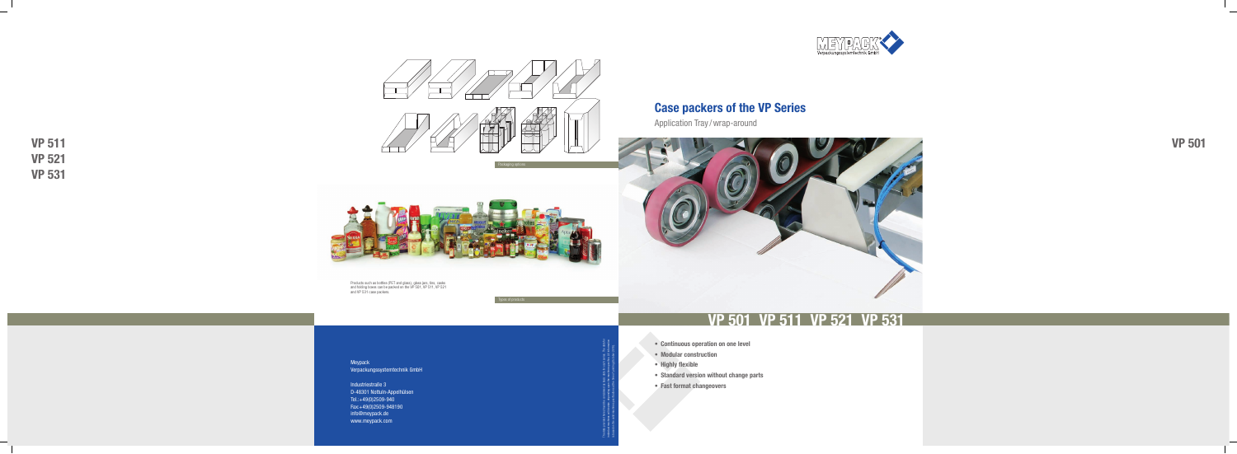**VP 511 VP 521 VP 531**



Meypack Verpackungssystemtechnik GmbH

Industriestraße 3 D-48301 Nottuln-Appelhülsen Tel.: +49(0)2509-940 Fax: +49(0)2509-948190 info@meypack.de www.meypack.com



The data provided here should be considered as basic data for each series. The data for individual machines will deviate, depending upon the machine specifi cs. All information is based on the valid machine specifications at the time of printing (October 2010).

Products such as bottles (PET and glass), glass jars, tins, casks and folding boxes can be packed on the VP 501, VP 511, VP 521 and VP 531 case packers.

Packaging options

Types of products





**VP 501**

# **Case packers of the VP Series**

# **VP 501 VP 511 VP 521 VP 531**

Application Tray / wrap-around



- **• Continuous operation on one level**
- **• Modular construction**
- **• Highly flexible**
- **• Standard version without change parts**
- **• Fast format changeovers**